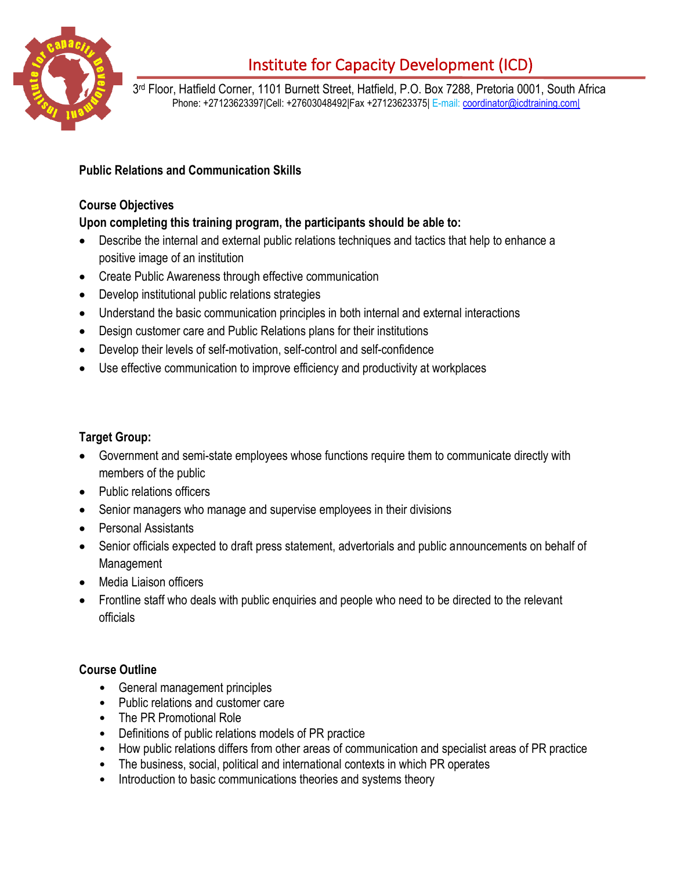

# Institute for Capacity Development (ICD)

3 rd Floor, Hatfield Corner, 1101 Burnett Street, Hatfield, P.O. Box 7288, Pretoria 0001, South Africa Phone: +27123623397|Cell: +27603048492|Fax +27123623375| E-mail: [coordinator@icdtraining.com|](mailto:coordinator@icdtraining.com%7C)

## **Public Relations and Communication Skills**

#### **Course Objectives**

### **Upon completing this training program, the participants should be able to:**

- Describe the internal and external public relations techniques and tactics that help to enhance a positive image of an institution
- Create Public Awareness through effective communication
- Develop institutional public relations strategies
- Understand the basic communication principles in both internal and external interactions
- Design customer care and Public Relations plans for their institutions
- Develop their levels of self-motivation, self-control and self-confidence
- Use effective communication to improve efficiency and productivity at workplaces

### **Target Group:**

- Government and semi-state employees whose functions require them to communicate directly with members of the public
- Public relations officers
- Senior managers who manage and supervise employees in their divisions
- Personal Assistants
- Senior officials expected to draft press statement, advertorials and public announcements on behalf of Management
- Media Liaison officers
- Frontline staff who deals with public enquiries and people who need to be directed to the relevant officials

#### **Course Outline**

- General management principles
- Public relations and customer care
- The PR Promotional Role
- Definitions of public relations models of PR practice
- How public relations differs from other areas of communication and specialist areas of PR practice
- The business, social, political and international contexts in which PR operates
- Introduction to basic communications theories and systems theory